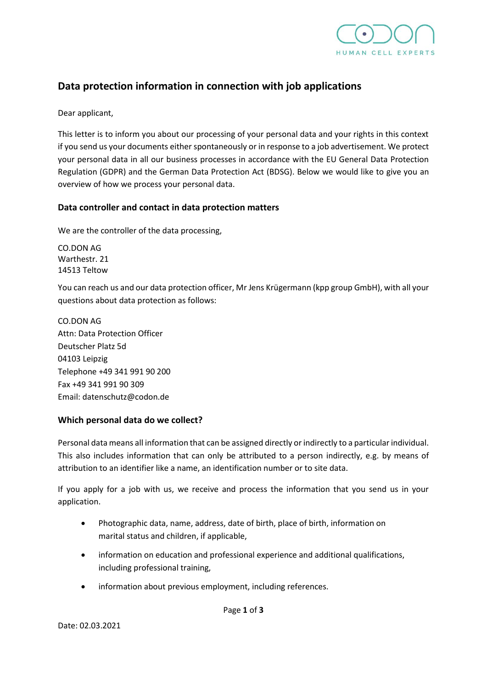

# **Data protection information in connection with job applications**

Dear applicant,

This letter is to inform you about our processing of your personal data and your rights in this context if you send us your documents either spontaneously or in response to a job advertisement. We protect your personal data in all our business processes in accordance with the EU General Data Protection Regulation (GDPR) and the German Data Protection Act (BDSG). Below we would like to give you an overview of how we process your personal data.

### **Data controller and contact in data protection matters**

We are the controller of the data processing,

CO.DON AG Warthestr. 21 14513 Teltow

You can reach us and our data protection officer, Mr Jens Krügermann (kpp group GmbH), with all your questions about data protection as follows:

CO.DON AG Attn: Data Protection Officer Deutscher Platz 5d 04103 Leipzig Telephone +49 341 991 90 200 Fax +49 341 991 90 309 Email: datenschutz@codon.de

## **Which personal data do we collect?**

Personal data means all information that can be assigned directly or indirectly to a particular individual. This also includes information that can only be attributed to a person indirectly, e.g. by means of attribution to an identifier like a name, an identification number or to site data.

If you apply for a job with us, we receive and process the information that you send us in your application.

- Photographic data, name, address, date of birth, place of birth, information on marital status and children, if applicable,
- information on education and professional experience and additional qualifications, including professional training,
- information about previous employment, including references.

Page **1** of **3**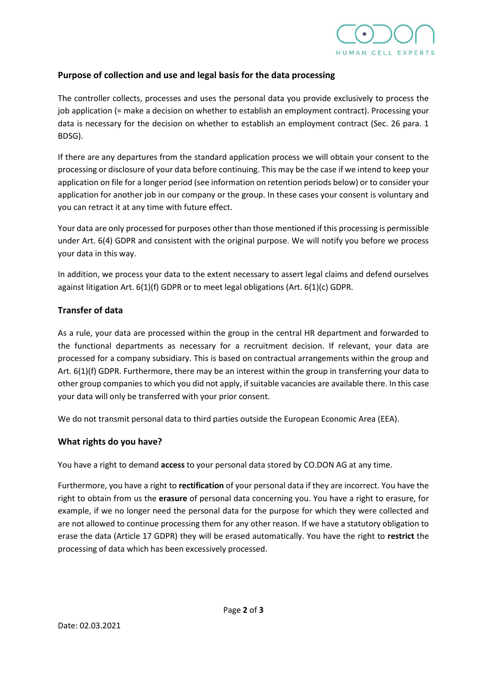

### **Purpose of collection and use and legal basis for the data processing**

The controller collects, processes and uses the personal data you provide exclusively to process the job application (= make a decision on whether to establish an employment contract). Processing your data is necessary for the decision on whether to establish an employment contract (Sec. 26 para. 1 BDSG).

If there are any departures from the standard application process we will obtain your consent to the processing or disclosure of your data before continuing. This may be the case if we intend to keep your application on file for a longer period (see information on retention periods below) or to consider your application for another job in our company or the group. In these cases your consent is voluntary and you can retract it at any time with future effect.

Your data are only processed for purposes other than those mentioned if this processing is permissible under Art. 6(4) GDPR and consistent with the original purpose. We will notify you before we process your data in this way.

In addition, we process your data to the extent necessary to assert legal claims and defend ourselves against litigation Art. 6(1)(f) GDPR or to meet legal obligations (Art. 6(1)(c) GDPR.

## **Transfer of data**

As a rule, your data are processed within the group in the central HR department and forwarded to the functional departments as necessary for a recruitment decision. If relevant, your data are processed for a company subsidiary. This is based on contractual arrangements within the group and Art. 6(1)(f) GDPR. Furthermore, there may be an interest within the group in transferring your data to other group companies to which you did not apply, if suitable vacancies are available there. In this case your data will only be transferred with your prior consent.

We do not transmit personal data to third parties outside the European Economic Area (EEA).

## **What rights do you have?**

You have a right to demand **access** to your personal data stored by CO.DON AG at any time.

Furthermore, you have a right to **rectification** of your personal data if they are incorrect. You have the right to obtain from us the **erasure** of personal data concerning you. You have a right to erasure, for example, if we no longer need the personal data for the purpose for which they were collected and are not allowed to continue processing them for any other reason. If we have a statutory obligation to erase the data (Article 17 GDPR) they will be erased automatically. You have the right to **restrict** the processing of data which has been excessively processed.